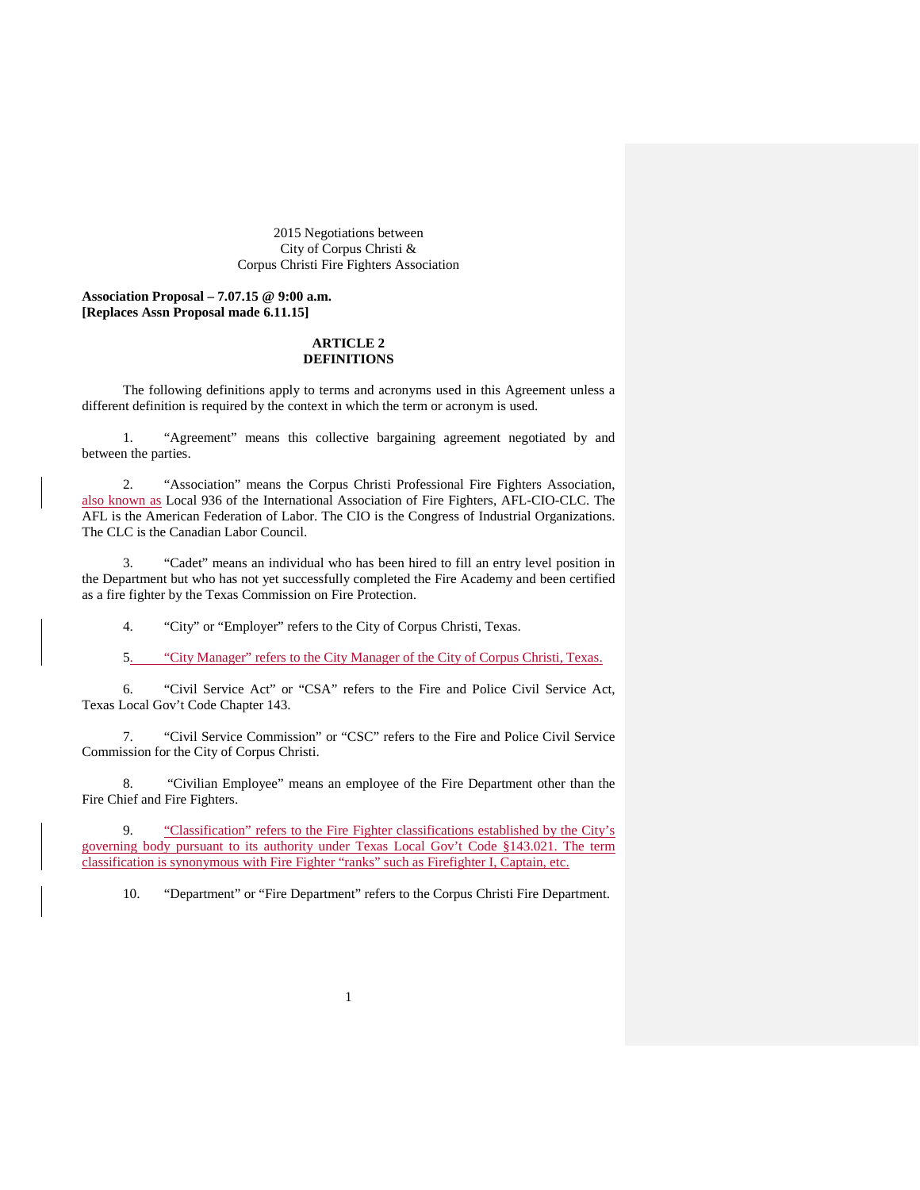2015 Negotiations between City of Corpus Christi & Corpus Christi Fire Fighters Association

**Association Proposal – 7.07.15 @ 9:00 a.m. [Replaces Assn Proposal made 6.11.15]** 

## **ARTICLE 2 DEFINITIONS**

The following definitions apply to terms and acronyms used in this Agreement unless a different definition is required by the context in which the term or acronym is used.

1. "Agreement" means this collective bargaining agreement negotiated by and between the parties.

2. "Association" means the Corpus Christi Professional Fire Fighters Association, also known as Local 936 of the International Association of Fire Fighters, AFL-CIO-CLC. The AFL is the American Federation of Labor. The CIO is the Congress of Industrial Organizations. The CLC is the Canadian Labor Council.

3. "Cadet" means an individual who has been hired to fill an entry level position in the Department but who has not yet successfully completed the Fire Academy and been certified as a fire fighter by the Texas Commission on Fire Protection.

4. "City" or "Employer" refers to the City of Corpus Christi, Texas.

5. "City Manager" refers to the City Manager of the City of Corpus Christi, Texas.

6. "Civil Service Act" or "CSA" refers to the Fire and Police Civil Service Act, Texas Local Gov't Code Chapter 143.

7. "Civil Service Commission" or "CSC" refers to the Fire and Police Civil Service Commission for the City of Corpus Christi.

8. "Civilian Employee" means an employee of the Fire Department other than the Fire Chief and Fire Fighters.

9. "Classification" refers to the Fire Fighter classifications established by the City's governing body pursuant to its authority under Texas Local Gov't Code §143.021. The term classification is synonymous with Fire Fighter "ranks" such as Firefighter I, Captain, etc.

10. "Department" or "Fire Department" refers to the Corpus Christi Fire Department.